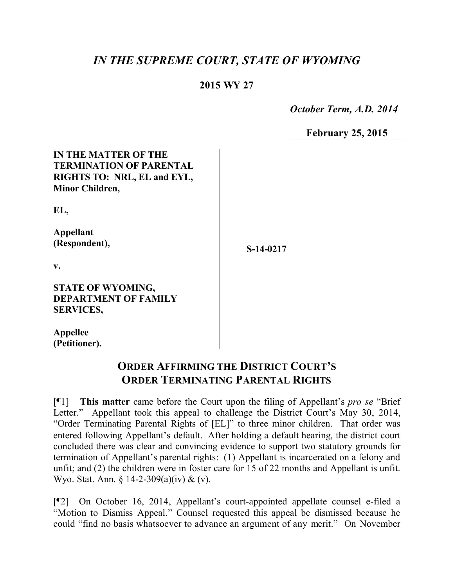## *IN THE SUPREME COURT, STATE OF WYOMING*

## **2015 WY 27**

 *October Term, A.D. 2014*

**February 25, 2015**

| IN THE MATTER OF THE<br><b>TERMINATION OF PARENTAL</b><br>RIGHTS TO: NRL, EL and EYL,<br><b>Minor Children,</b> |           |
|-----------------------------------------------------------------------------------------------------------------|-----------|
| EL,                                                                                                             |           |
| <b>Appellant</b><br>(Respondent),                                                                               | S-14-0217 |
| v.                                                                                                              |           |
| <b>STATE OF WYOMING,</b><br><b>DEPARTMENT OF FAMILY</b><br><b>SERVICES,</b>                                     |           |
| <b>Appellee</b><br>(Petitioner).                                                                                |           |

## **ORDER AFFIRMING THE DISTRICT COURT'S ORDER TERMINATING PARENTAL RIGHTS**

[¶1] **This matter** came before the Court upon the filing of Appellant's *pro se* "Brief Letter." Appellant took this appeal to challenge the District Court's May 30, 2014, "Order Terminating Parental Rights of [EL]" to three minor children. That order was entered following Appellant's default. After holding a default hearing, the district court concluded there was clear and convincing evidence to support two statutory grounds for termination of Appellant's parental rights: (1) Appellant is incarcerated on a felony and unfit; and (2) the children were in foster care for 15 of 22 months and Appellant is unfit. Wyo. Stat. Ann. § 14-2-309(a)(iv) & (v).

[¶2] On October 16, 2014, Appellant's court-appointed appellate counsel e-filed a "Motion to Dismiss Appeal." Counsel requested this appeal be dismissed because he could "find no basis whatsoever to advance an argument of any merit." On November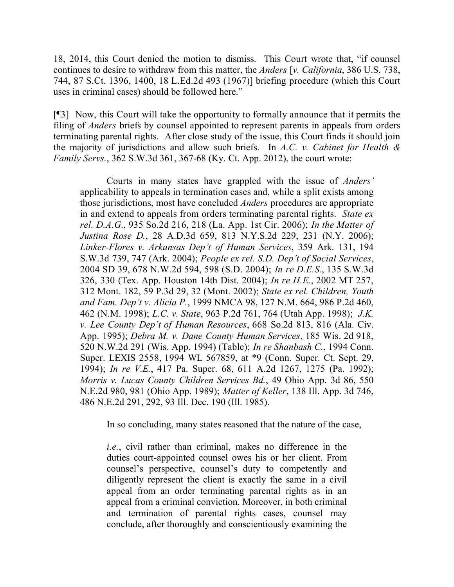18, 2014, this Court denied the motion to dismiss. This Court wrote that, "if counsel continues to desire to withdraw from this matter, the *Anders* [*v. California*, 386 U.S. 738, 744, 87 S.Ct. 1396, 1400, 18 L.Ed.2d 493 (1967)] briefing procedure (which this Court uses in criminal cases) should be followed here."

[¶3] Now, this Court will take the opportunity to formally announce that it permits the filing of *Anders* briefs by counsel appointed to represent parents in appeals from orders terminating parental rights. After close study of the issue, this Court finds it should join the majority of jurisdictions and allow such briefs. In *A.C. v. Cabinet for Health & Family Servs.*, 362 S.W.3d 361, 367-68 (Ky. Ct. App. 2012), the court wrote:

Courts in many states have grappled with the issue of *Anders'*  applicability to appeals in termination cases and, while a split exists among those jurisdictions, most have concluded *Anders* procedures are appropriate in and extend to appeals from orders terminating parental rights. *State ex rel. D.A.G.*, 935 So.2d 216, 218 (La. App. 1st Cir. 2006); *In the Matter of Justina Rose D.*, 28 A.D.3d 659, 813 N.Y.S.2d 229, 231 (N.Y. 2006); *Linker-Flores v. Arkansas Dep't of Human Services*, 359 Ark. 131, 194 S.W.3d 739, 747 (Ark. 2004); *People ex rel. S.D. Dep't of Social Services*, 2004 SD 39, 678 N.W.2d 594, 598 (S.D. 2004); *In re D.E.S.*, 135 S.W.3d 326, 330 (Tex. App. Houston 14th Dist. 2004); *In re H.E.*, 2002 MT 257, 312 Mont. 182, 59 P.3d 29, 32 (Mont. 2002); *State ex rel. Children, Youth and Fam. Dep't v. Alicia P.*, 1999 NMCA 98, 127 N.M. 664, 986 P.2d 460, 462 (N.M. 1998); *L.C. v. State*, 963 P.2d 761, 764 (Utah App. 1998); *J.K. v. Lee County Dep't of Human Resources*, 668 So.2d 813, 816 (Ala. Civ. App. 1995); *Debra M. v. Dane County Human Services*, 185 Wis. 2d 918, 520 N.W.2d 291 (Wis. App. 1994) (Table); *In re Shanbash C.*, 1994 Conn. Super. LEXIS 2558, 1994 WL 567859, at \*9 (Conn. Super. Ct. Sept. 29, 1994); *In re V.E.*, 417 Pa. Super. 68, 611 A.2d 1267, 1275 (Pa. 1992); *Morris v. Lucas County Children Services Bd.*, 49 Ohio App. 3d 86, 550 N.E.2d 980, 981 (Ohio App. 1989); *Matter of Keller*, 138 Ill. App. 3d 746, 486 N.E.2d 291, 292, 93 Ill. Dec. 190 (Ill. 1985).

In so concluding, many states reasoned that the nature of the case,

*i.e.*, civil rather than criminal, makes no difference in the duties court-appointed counsel owes his or her client. From counsel's perspective, counsel's duty to competently and diligently represent the client is exactly the same in a civil appeal from an order terminating parental rights as in an appeal from a criminal conviction. Moreover, in both criminal and termination of parental rights cases, counsel may conclude, after thoroughly and conscientiously examining the